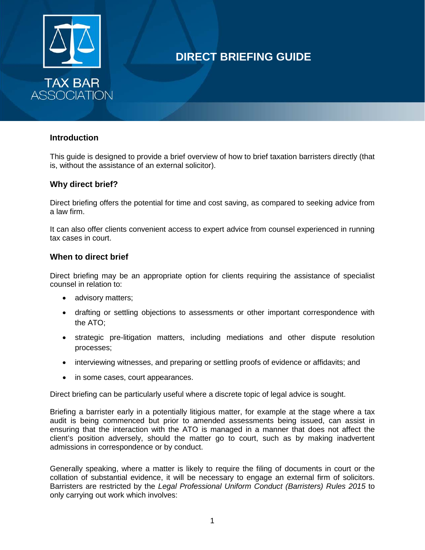

# **DIRECT BRIEFING GUIDE**

### **Introduction**

This guide is designed to provide a brief overview of how to brief taxation barristers directly (that is, without the assistance of an external solicitor).

### **Why direct brief?**

Direct briefing offers the potential for time and cost saving, as compared to seeking advice from a law firm.

It can also offer clients convenient access to expert advice from counsel experienced in running tax cases in court.

### **When to direct brief**

Direct briefing may be an appropriate option for clients requiring the assistance of specialist counsel in relation to:

- advisory matters;
- drafting or settling objections to assessments or other important correspondence with the ATO;
- strategic pre-litigation matters, including mediations and other dispute resolution processes;
- interviewing witnesses, and preparing or settling proofs of evidence or affidavits; and
- in some cases, court appearances.

Direct briefing can be particularly useful where a discrete topic of legal advice is sought.

Briefing a barrister early in a potentially litigious matter, for example at the stage where a tax audit is being commenced but prior to amended assessments being issued, can assist in ensuring that the interaction with the ATO is managed in a manner that does not affect the client's position adversely, should the matter go to court, such as by making inadvertent admissions in correspondence or by conduct.

Generally speaking, where a matter is likely to require the filing of documents in court or the collation of substantial evidence, it will be necessary to engage an external firm of solicitors. Barristers are restricted by the *Legal Professional Uniform Conduct (Barristers) Rules 2015* to only carrying out work which involves: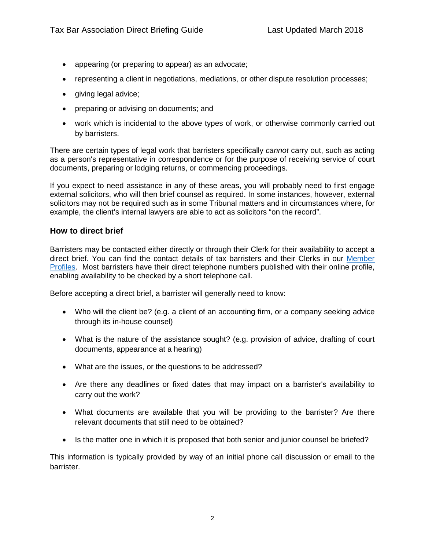- appearing (or preparing to appear) as an advocate;
- representing a client in negotiations, mediations, or other dispute resolution processes;
- giving legal advice;
- preparing or advising on documents; and
- work which is incidental to the above types of work, or otherwise commonly carried out by barristers.

There are certain types of legal work that barristers specifically *cannot* carry out, such as acting as a person's representative in correspondence or for the purpose of receiving service of court documents, preparing or lodging returns, or commencing proceedings.

If you expect to need assistance in any of these areas, you will probably need to first engage external solicitors, who will then brief counsel as required. In some instances, however, external solicitors may not be required such as in some Tribunal matters and in circumstances where, for example, the client's internal lawyers are able to act as solicitors "on the record".

### **How to direct brief**

Barristers may be contacted either directly or through their Clerk for their availability to accept a direct brief. You can find the contact details of tax barristers and their Clerks in our [Member](https://fifi91.wixsite.com/taxbarassociation/barristers)  [Profiles.](https://fifi91.wixsite.com/taxbarassociation/barristers) Most barristers have their direct telephone numbers published with their online profile, enabling availability to be checked by a short telephone call.

Before accepting a direct brief, a barrister will generally need to know:

- Who will the client be? (e.g. a client of an accounting firm, or a company seeking advice through its in-house counsel)
- What is the nature of the assistance sought? (e.g. provision of advice, drafting of court documents, appearance at a hearing)
- What are the issues, or the questions to be addressed?
- Are there any deadlines or fixed dates that may impact on a barrister's availability to carry out the work?
- What documents are available that you will be providing to the barrister? Are there relevant documents that still need to be obtained?
- Is the matter one in which it is proposed that both senior and junior counsel be briefed?

This information is typically provided by way of an initial phone call discussion or email to the barrister.